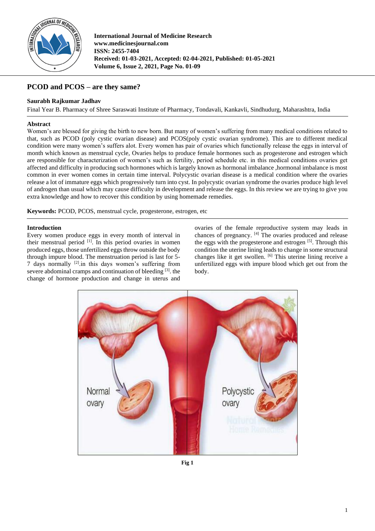

**International Journal of Medicine Research www.medicinesjournal.com ISSN: 2455-7404 Received: 01-03-2021, Accepted: 02-04-2021, Published: 01-05-2021 Volume 6, Issue 2, 2021, Page No. 01-09**

# **PCOD and PCOS – are they same?**

# **Saurabh Rajkumar Jadhav**

Final Year B. Pharmacy of Shree Saraswati Institute of Pharmacy, Tondavali, Kankavli, Sindhudurg, Maharashtra, India

# **Abstract**

Women's are blessed for giving the birth to new born. But many of women's suffering from many medical conditions related to that, such as PCOD (poly cystic ovarian disease) and PCOS(poly cystic ovarian syndrome). This are to different medical condition were many women's suffers alot. Every women has pair of ovaries which functionally release the eggs in interval of month which known as menstrual cycle, Ovaries helps to produce female hormones such as progesterone and estrogen which are responsible for characterization of women's such as fertility, period schedule etc. in this medical conditions ovaries get affected and difficulty in producing such hormones which is largely known as hormonal imbalance ,hormonal imbalance is most common in ever women comes in certain time interval. Polycystic ovarian disease is a medical condition where the ovaries release a lot of immature eggs which progressively turn into cyst. In polycystic ovarian syndrome the ovaries produce high level of androgen than usual which may cause difficulty in development and release the eggs. In this review we are trying to give you extra knowledge and how to recover this condition by using homemade remedies.

**Keywords:** PCOD, PCOS, menstrual cycle, progesterone, estrogen, etc

### **Introduction**

Every women produce eggs in every month of interval in their menstrual period <sup>[1]</sup>. In this period ovaries in women produced eggs, those unfertilized eggs throw outside the body through impure blood. The menstruation period is last for 5- 7 days normally  $[2]$  in this days women's suffering from severe abdominal cramps and continuation of bleeding<sup>[3]</sup>. the change of hormone production and change in uterus and ovaries of the female reproductive system may leads in chances of pregnancy. [4] The ovaries produced and release the eggs with the progesterone and estrogen <sup>[5]</sup>. Through this condition the uterine lining leads to change in some structural changes like it get swollen. [6] This uterine lining receive a unfertilized eggs with impure blood which get out from the body.



**Fig 1**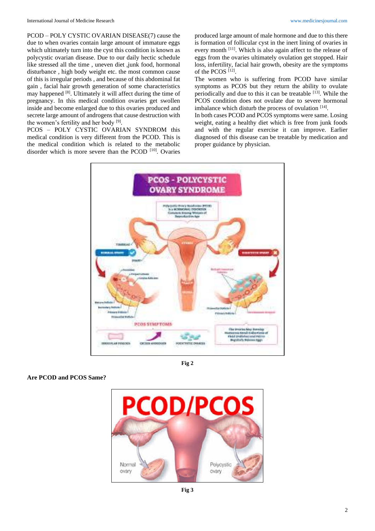PCOD – POLY CYSTIC OVARIAN DISEASE(7) cause the due to when ovaries contain large amount of immature eggs which ultimately turn into the cyst this condition is known as polycystic ovarian disease. Due to our daily hectic schedule like stressed all the time , uneven diet ,junk food, hormonal disturbance , high body weight etc. the most common cause of this is irregular periods , and because of this abdominal fat gain , facial hair growth generation of some characteristics may happened [8]. Ultimately it will affect during the time of pregnancy. In this medical condition ovaries get swollen inside and become enlarged due to this ovaries produced and secrete large amount of androgens that cause destruction with the women's fertility and her body <sup>[9]</sup>.

PCOS – POLY CYSTIC OVARIAN SYNDROM this medical condition is very different from the PCOD. This is the medical condition which is related to the metabolic disorder which is more severe than the PCOD<sup>[10]</sup>. Ovaries produced large amount of male hormone and due to this there is formation of follicular cyst in the inert lining of ovaries in every month <sup>[11]</sup>. Which is also again affect to the release of eggs from the ovaries ultimately ovulation get stopped. Hair loss, infertility, facial hair growth, obesity are the symptoms of the PCOS [12] .

The women who is suffering from PCOD have similar symptoms as PCOS but they return the ability to ovulate periodically and due to this it can be treatable [13] . While the PCOS condition does not ovulate due to severe hormonal imbalance which disturb the process of ovulation [14].

In both cases PCOD and PCOS symptoms were same. Losing weight, eating a healthy diet which is free from junk foods and with the regular exercise it can improve. Earlier diagnosed of this disease can be treatable by medication and proper guidance by physician.



**Fig 2**

#### **Are PCOD and PCOS Same?**



**Fig 3**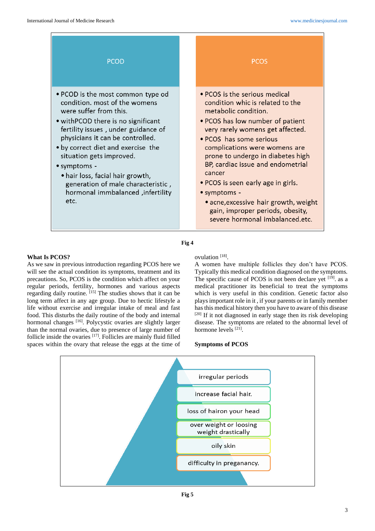

#### **What Is PCOS?**

As we saw in previous introduction regarding PCOS here we will see the actual condition its symptoms, treatment and its precautions. So, PCOS is the condition which affect on your regular periods, fertility, hormones and various aspects regarding daily routine. [15] The studies shows that it can be long term affect in any age group. Due to hectic lifestyle a life without exercise and irregular intake of meal and fast food. This disturbs the daily routine of the body and internal hormonal changes<sup>[16]</sup>. Polycystic ovaries are slightly larger than the normal ovaries, due to presence of large number of follicle inside the ovaries [17] . Follicles are mainly fluid filled spaces within the ovary that release the eggs at the time of ovulation [18].

A women have multiple follicles they don't have PCOS. Typically this medical condition diagnosed on the symptoms. The specific cause of PCOS is not been declare yet  $[19]$ . as a medical practitioner its beneficial to treat the symptoms which is very useful in this condition. Genetic factor also plays important role in it , if your parents or in family member has this medical history then you have to aware of this disease [20] If it not diagnosed in early stage then its risk developing disease. The symptoms are related to the abnormal level of hormone levels [21].

#### **Symptoms of PCOS**

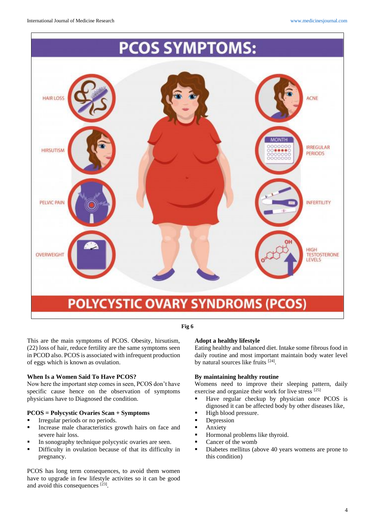

### **Fig 6**

This are the main symptoms of PCOS. Obesity, hirsutism, (22) loss of hair, reduce fertility are the same symptoms seen in PCOD also. PCOS is associated with infrequent production of eggs which is known as ovulation.

#### **When Is a Women Said To Have PCOS?**

Now here the important step comes in seen, PCOS don't have specific cause hence on the observation of symptoms physicians have to Diagnosed the condition.

### **PCOS = Polycystic Ovaries Scan + Symptoms**

- **•** Irregular periods or no periods.
- **Increase male characteristics growth hairs on face and** severe hair loss.
- **In sonography technique polycystic ovaries are seen.**
- Difficulty in ovulation because of that its difficulty in pregnancy.

PCOS has long term consequences, to avoid them women have to upgrade in few lifestyle activites so it can be good and avoid this consequences [23].

# **Adopt a healthy lifestyle**

Eating healthy and balanced diet. Intake some fibrous food in daily routine and most important maintain body water level by natural sources like fruits [24].

### **By maintaining healthy routine**

Womens need to improve their sleeping pattern, daily exercise and organize their work for live stress [25]

- Have regular checkup by physician once PCOS is dignosed it can be affected body by other diseases like,
- High blood pressure.
- Depression
- Anxiety
- Hormonal problems like thyroid.
- Cancer of the womb
- Diabetes mellitus (above 40 years womens are prone to this condition)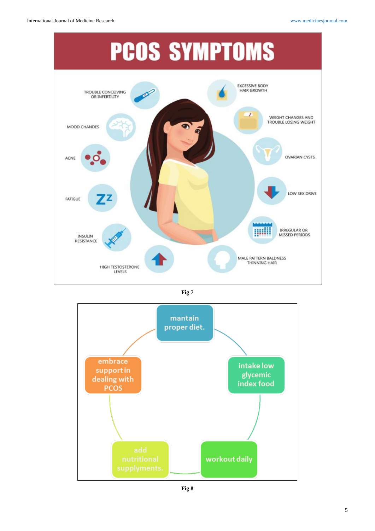

**Fig 7**



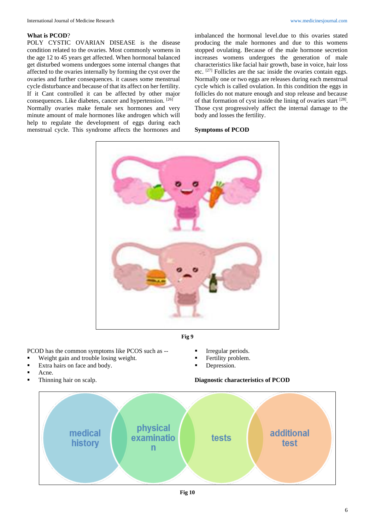#### **What is PCOD**?

POLY CYSTIC OVARIAN DISEASE is the disease condition related to the ovaries. Most commonly womens in the age 12 to 45 years get affected. When hormonal balanced get disturbed womens undergoes some internal changes that affected to the ovaries internally by forming the cyst over the ovaries and further consequences. it causes some menstrual cycle disturbance and because of that its affect on her fertility. If it Cant controlled it can be affected by other major consequences. Like diabetes, cancer and hypertension. [26] Normally ovaries make female sex hormones and very minute amount of male hormones like androgen which will help to regulate the development of eggs during each menstrual cycle. This syndrome affects the hormones and

imbalanced the hormonal level.due to this ovaries stated producing the male hormones and due to this womens stopped ovulating. Because of the male hormone secretion increases womens undergoes the generation of male characteristics like facial hair growth, base in voice, hair loss etc. [27] Follicles are the sac inside the ovaries contain eggs. Normally one or two eggs are releases during each menstrual cycle which is called ovulation. In this condition the eggs in follicles do not mature enough and stop release and because of that formation of cyst inside the lining of ovaries start [28]. Those cyst progressively affect the internal damage to the body and losses the fertility.

**Symptoms of PCOD**



#### **Fig 9**

PCOD has the common symptoms like PCOS such as --

- Weight gain and trouble losing weight.
- Extra hairs on face and body.
- Acne.
- Thinning hair on scalp.

### Irregular periods.

- Fertility problem.
- Depression.

#### **Diagnostic characteristics of PCOD**



**Fig 10**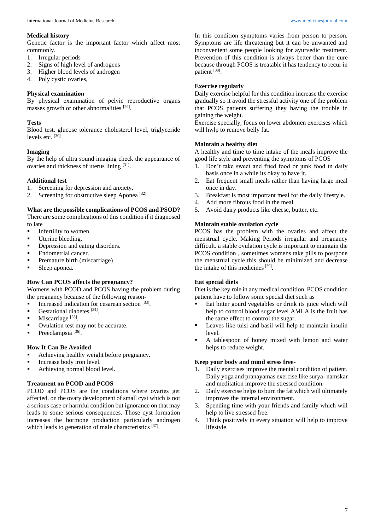#### **Medical history**

Genetic factor is the important factor which affect most commonly.

- 1. Irregular periods<br>2. Signs of high level
- Signs of high level of androgens
- 3. Higher blood levels of androgen
- 4. Poly cystic ovaries,

### **Physical examination**

By physical examination of pelvic reproductive organs masses growth or other abnormalities [29].

### **Tests**

Blood test, glucose tolerance cholesterol level, triglyceride levels etc. [30]

### **Imaging**

By the help of ultra sound imaging check the appearance of ovaries and thickness of uterus lining [31].

#### **Additional test**

- 1. Screening for depression and anxiety.
- 2. Screening for obstructive sleep Aponea<sup>[32]</sup>.

#### **What are the possible complications of PCOS and PSOD?** There are some complications of this condition if it diagnosed

to late

- **•** Infertility to women.
- Uterine bleeding.
- Depression and eating disorders.
- Endometrial cancer.
- **•** Premature birth (miscarriage)
- Sleep aponea.

# **How Can PCOS affects the pregnancy?**

Womens with PCOD and PCOS having the problem during the pregnancy because of the following reason-

- **Increased indication for cesarean section** [33].
- **•** Gestational diabetes  $[34]$ .
- $\blacksquare$  Miscarriage [35].
- Ovulation test may not be accurate.
- **•** Preeclampsia<sup>[36]</sup>.

# **How It Can Be Avoided**

- Achieving healthy weight before pregnancy.
- **■** Increase body iron level.
- Achieving normal blood level.

#### **Treatment on PCOD and PCOS**

PCOD and PCOS are the conditions where ovaries get affected. on the ovary development of small cyst which is not a serious case or harmful condition but ignorance on that may leads to some serious consequences. Those cyst formation increases the hormone production particularly androgen which leads to generation of male characteristics [37].

In this condition symptoms varies from person to person. Symptoms are life threatening but it can be unwanted and inconvenient some people looking for ayurvedic treatment. Prevention of this condition is always better than the cure because through PCOS is treatable it has tendency to recur in patient [38].

### **Exercise regularly**

Daily exercise helpful for this condition increase the exercise gradually so it avoid the stressful activity one of the problem that PCOS patients suffering they having the trouble in gaining the weight.

Exercise specially, focus on lower abdomen exercises which will hwlp to remove belly fat.

### **Maintain a healthy diet**

A healthy and time to time intake of the meals improve the good life style and preventing the symptoms of PCOS

- 1. Don't take sweet and fried food or junk food in daily basis once in a while its okay to have it.
- 2. Eat frequent small meals rather than having large meal once in day.
- 3. Breakfast is most important meal for the daily lifestyle.
- 4. Add more fibrous food in the meal
- 5. Avoid dairy products like cheese, butter, etc.

### **Maintain stable ovulation cycle**

PCOS has the problem with the ovaries and affect the menstrual cycle. Making Periods irregular and pregnancy difficult. a stable ovulation cycle is important to maintain the PCOS condition , sometimes womens take pills to postpone the menstrual cycle this should be minimized and decrease the intake of this medicines  $[39]$ .

#### **Eat special diets**

Diet is the key role in any medical condition. PCOS condition patient have to follow some special diet such as

- Eat bitter gourd vegetables or drink its juice which will help to control blood sugar level AMLA is the fruit has the same effect to control the sugar.
- Leaves like tulsi and basil will help to maintain insulin level.
- A tablespoon of honey mixed with lemon and water helps to reduce weight.

#### **Keep your body and mind stress free-**

- 1. Daily exercises improve the mental condition of patient. Daily yoga and pranayamas exercise like surya- namskar and meditation improve the stressed condition.
- 2. Daily exercise helps to burn the fat which will ultimately improves the internal environment.
- 3. Spending time with your friends and family which will help to live stressed free.
- 4. Think positively in every situation will help to improve lifestyle.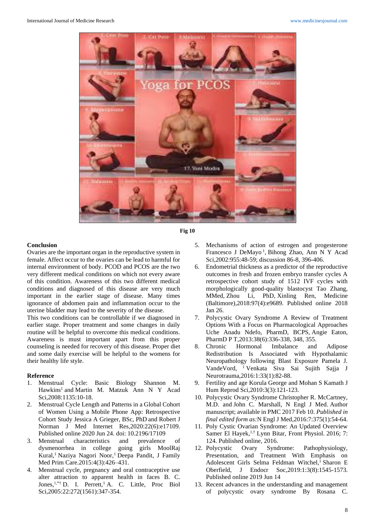



#### **Conclusion**

Ovaries are the important organ in the reproductive system in female. Affect occur to the ovaries can be lead to harmful for internal environment of body. PCOD and PCOS are the two very different medical conditions on which not every aware of this condition. Awareness of this two different medical conditions and diagnosed of this disease are very much important in the earlier stage of disease. Many times ignorance of abdomen pain and inflammation occur to the uterine bladder may lead to the severity of the disease.

This two conditions can be controllable if we diagnosed in earlier stage. Proper treatment and some changes in daily routine will be helpful to overcome this medical conditions. Awareness is must important apart from this proper counseling is needed for recovery of this disease. Proper diet and some daily exercise will be helpful to the womens for their healthy life style.

#### **Reference**

- 1. Menstrual Cycle: Basic Biology Shannon M. Hawkins<sup>1</sup> and Martin M. Matzuk Ann N Y Acad Sci,2008:1135:10-18.
- 2. Menstrual Cycle Length and Patterns in a Global Cohort of Women Using a Mobile Phone App: Retrospective Cohort Study Jessica A Grieger, BSc, PhD and Robert J Norman J Med Internet Res,2020:22(6):e17109. Published online 2020 Jun 24. doi: 10.2196/17109
- 3. Menstrual characteristics and prevalence of dysmenorrhea in college going girls MoolRaj Kural,<sup>1</sup> Naziya Nagori Noor,<sup>1</sup> Deepa Pandit, J Family Med Prim Care.2015:4(3):426–431.
- 4. Menstrual cycle, pregnancy and oral contraceptive use alter attraction to apparent health in faces B. C. Jones, $1, *$ † D. I. Perrett,<sup>1</sup> A. C. Little, Proc Biol Sci,2005:22:272(1561):347-354.
- 5. Mechanisms of action of estrogen and progesterone Francesco J DeMayo<sup>1</sup>, Bihong Zhao, Ann N Y Acad Sci,2002:955:48-59; discussion 86-8, 396-406.
- 6. Endometrial thickness as a predictor of the reproductive outcomes in fresh and frozen embryo transfer cycles A retrospective cohort study of 1512 IVF cycles with morphologically good-quality blastocyst Tao Zhang, MMed, Zhou Li, PhD, Xinling Ren, Medicine (Baltimore),2018:97(4):e9689. Published online 2018 Jan 26.
- 7. Polycystic Ovary Syndrome A Review of Treatment Options With a Focus on Pharmacological Approaches Uche Anadu Ndefo, PharmD, BCPS, Angie Eaton, PharmD P T,2013:38(6):336-338, 348, 355.
- 8. Chronic Hormonal Imbalance and Adipose Redistribution Is Associated with Hypothalamic Neuropathology following Blast Exposure Pamela J. VandeVord, <sup>1</sup> Venkata Siva Sai Sujith Sajja J Neurotrauma,2016:1:33(1):82-88.
- 9. Fertility and age Korula George and Mohan S Kamath J Hum Reprod Sci,2010:3(3):121-123.
- 10. Polycystic Ovary Syndrome Christopher R. McCartney, M.D. and John C. Marshall, N Engl J Med. Author manuscript; available in PMC 2017 Feb 10. *Published in final edited form as:*N Engl J Med,2016:7:375(1):54-64.
- 11. Poly Cystic Ovarian Syndrome: An Updated Overview Samer El Hayek,  $1, \dagger$  Lynn Bitar, Front Physiol. 2016; 7: 124. Published online, 2016.
- 12. Polycystic Ovary Syndrome: Pathophysiology, Presentation, and Treatment With Emphasis on Adolescent Girls Selma Feldman Witchel,<sup>1</sup> Sharon E Oberfield, J Endocr Soc,2019:1:3(8):1545-1573. Published online 2019 Jun 14
- 13. Recent advances in the understanding and management of polycystic ovary syndrome By Rosana C.